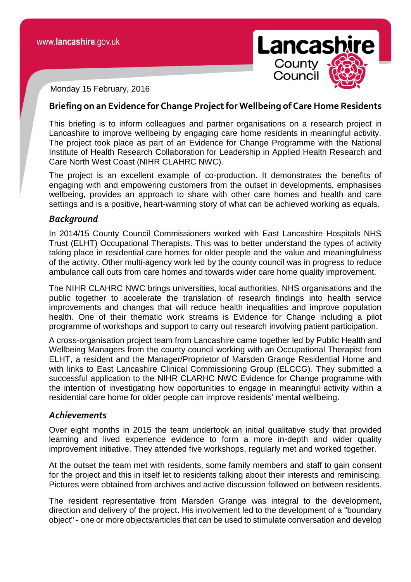

Monday 15 February, 2016

## **Briefing on an Evidence for Change Project for Wellbeing of Care Home Residents**

This briefing is to inform colleagues and partner organisations on a research project in Lancashire to improve wellbeing by engaging care home residents in meaningful activity. The project took place as part of an Evidence for Change Programme with the National Institute of Health Research Collaboration for Leadership in Applied Health Research and Care North West Coast (NIHR CLAHRC NWC).

The project is an excellent example of co-production. It demonstrates the benefits of engaging with and empowering customers from the outset in developments, emphasises wellbeing, provides an approach to share with other care homes and health and care settings and is a positive, heart-warming story of what can be achieved working as equals.

### *Background*

In 2014/15 County Council Commissioners worked with East Lancashire Hospitals NHS Trust (ELHT) Occupational Therapists. This was to better understand the types of activity taking place in residential care homes for older people and the value and meaningfulness of the activity. Other multi-agency work led by the county council was in progress to reduce ambulance call outs from care homes and towards wider care home quality improvement.

The NIHR CLAHRC NWC brings universities, local authorities, NHS organisations and the public together to accelerate the translation of research findings into health service improvements and changes that will reduce health inequalities and improve population health. One of their thematic work streams is Evidence for Change including a pilot programme of workshops and support to carry out research involving patient participation.

A cross-organisation project team from Lancashire came together led by Public Health and Wellbeing Managers from the county council working with an Occupational Therapist from ELHT, a resident and the Manager/Proprietor of Marsden Grange Residential Home and with links to East Lancashire Clinical Commissioning Group (ELCCG). They submitted a successful application to the NIHR CLARHC NWC Evidence for Change programme with the intention of investigating how opportunities to engage in meaningful activity within a residential care home for older people can improve residents' mental wellbeing.

### *Achievements*

Over eight months in 2015 the team undertook an initial qualitative study that provided learning and lived experience evidence to form a more in-depth and wider quality improvement initiative. They attended five workshops, regularly met and worked together.

At the outset the team met with residents, some family members and staff to gain consent for the project and this in itself let to residents talking about their interests and reminiscing. Pictures were obtained from archives and active discussion followed on between residents.

The resident representative from Marsden Grange was integral to the development, direction and delivery of the project. His involvement led to the development of a "boundary object" - one or more objects/articles that can be used to stimulate conversation and develop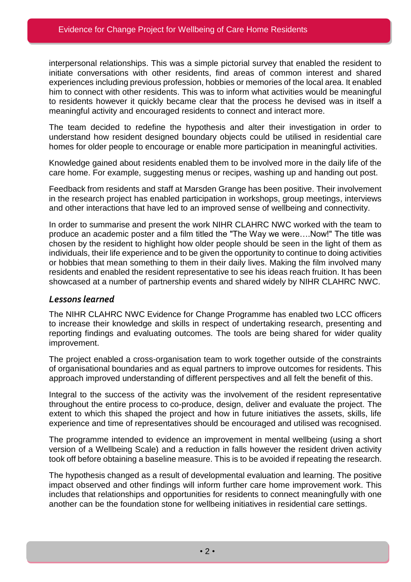interpersonal relationships. This was a simple pictorial survey that enabled the resident to initiate conversations with other residents, find areas of common interest and shared experiences including previous profession, hobbies or memories of the local area. It enabled him to connect with other residents. This was to inform what activities would be meaningful to residents however it quickly became clear that the process he devised was in itself a meaningful activity and encouraged residents to connect and interact more.

The team decided to redefine the hypothesis and alter their investigation in order to understand how resident designed boundary objects could be utilised in residential care homes for older people to encourage or enable more participation in meaningful activities.

Knowledge gained about residents enabled them to be involved more in the daily life of the care home. For example, suggesting menus or recipes, washing up and handing out post.

Feedback from residents and staff at Marsden Grange has been positive. Their involvement in the research project has enabled participation in workshops, group meetings, interviews and other interactions that have led to an improved sense of wellbeing and connectivity.

In order to summarise and present the work NIHR CLAHRC NWC worked with the team to produce an academic poster and a film titled the "The Way we were….Now!" The title was chosen by the resident to highlight how older people should be seen in the light of them as individuals, their life experience and to be given the opportunity to continue to doing activities or hobbies that mean something to them in their daily lives. Making the film involved many residents and enabled the resident representative to see his ideas reach fruition. It has been showcased at a number of partnership events and shared widely by NIHR CLAHRC NWC.

## *Lessons learned*

The NIHR CLAHRC NWC Evidence for Change Programme has enabled two LCC officers to increase their knowledge and skills in respect of undertaking research, presenting and reporting findings and evaluating outcomes. The tools are being shared for wider quality improvement.

The project enabled a cross-organisation team to work together outside of the constraints of organisational boundaries and as equal partners to improve outcomes for residents. This approach improved understanding of different perspectives and all felt the benefit of this.

Integral to the success of the activity was the involvement of the resident representative throughout the entire process to co-produce, design, deliver and evaluate the project. The extent to which this shaped the project and how in future initiatives the assets, skills, life experience and time of representatives should be encouraged and utilised was recognised.

The programme intended to evidence an improvement in mental wellbeing (using a short version of a Wellbeing Scale) and a reduction in falls however the resident driven activity took off before obtaining a baseline measure. This is to be avoided if repeating the research.

The hypothesis changed as a result of developmental evaluation and learning. The positive impact observed and other findings will inform further care home improvement work. This includes that relationships and opportunities for residents to connect meaningfully with one another can be the foundation stone for wellbeing initiatives in residential care settings.